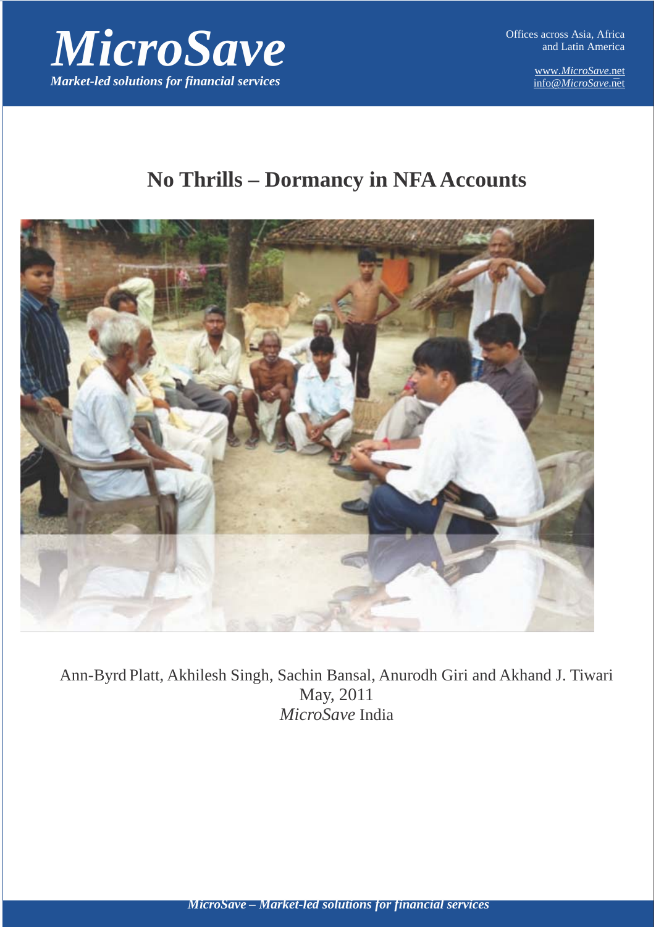

www.*MicroSave*.ne[t](mailto:%20info@MicroSave.net) info@*[MicroSave](mailto:%20info@MicroSave.net)*.net

# **No Thrills – Dormancy in NFA Accounts**



Ann-Byrd Platt, Akhilesh Singh, Sachin Bansal, Anurodh Giri and Akhand J. Tiwari May, 2011 *MicroSave* India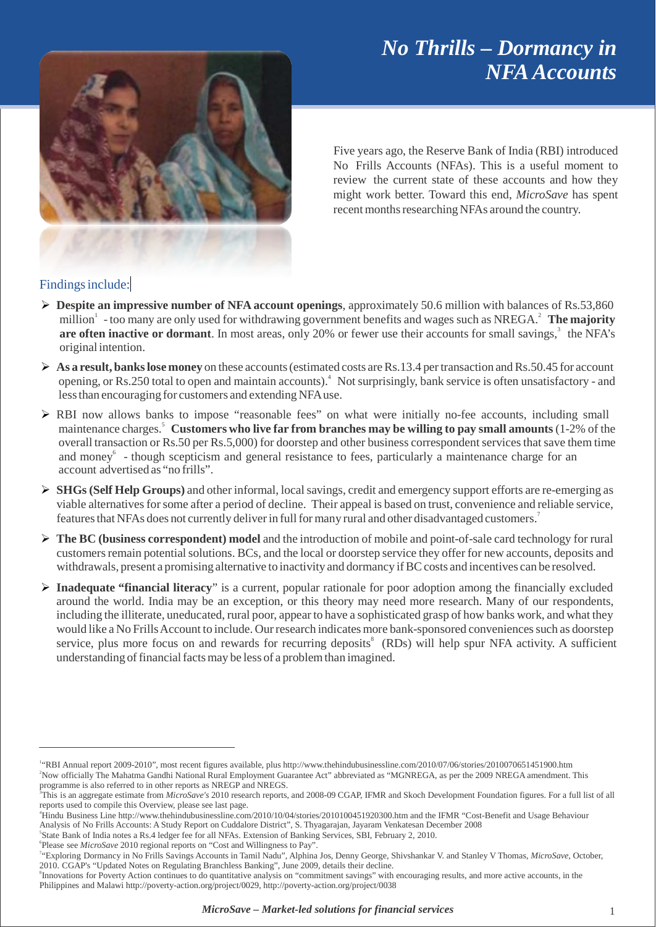# *No Thrills – Dormancy in NFAAccounts*



Five years ago, the Reserve Bank of India (RBI) introduced No Frills Accounts (NFAs). This is a useful moment to review the current state of these accounts and how they might work better. Toward this end, *MicroSave* has spent recent months researching NFAs around the country.

### Findings include:

- **Despite an impressive number of NFA account openings**, approximately 50.6 million with balances of Rs.53,860 million1 - too many are only used for withdrawing government benefits and wages such as NREGA.2 **The majority** are often inactive or dormant. In most areas, only 20% or fewer use their accounts for small savings,<sup>3</sup> the NFA's original intention.
- **► As a result, banks lose money** on these accounts (estimated costs are Rs.13.4 per transaction and Rs.50.45 for account opening, or Rs.250 total to open and maintain accounts).<sup>4</sup> Not surprisingly, bank service is often unsatisfactory - and lessthan encouraging for customers and extending NFAuse.
- RBI now allows banks to impose "reasonable fees" on what were initially no-fee accounts, including small maintenance charges.5 **Customers who live far from branches may be willing to pay small amounts** (1-2% of the overall transaction or Rs.50 per Rs.5,000) for doorstep and other business correspondent services that save them time and money<sup>6</sup> - though scepticism and general resistance to fees, particularly a maintenance charge for an account advertised as "no frills".
- **SHGs(Self Help Groups)** and other informal, localsavings, credit and emergency support efforts are re-emerging as viable alternatives for some after a period of decline. Their appeal is based on trust, convenience and reliable service, features that NFAs does not currently deliver in full for many rural and other disadvantaged customers.<sup>7</sup>
- **The BC (business correspondent) model** and the introduction of mobile and point-of-sale card technology for rural customersremain potentialsolutions. BCs, and the local or doorstep service they offer for new accounts, deposits and withdrawals, present a promising alternative to inactivity and dormancy if BC costs and incentives can be resolved.
- **Inadequate "financial literacy**" is a current, popular rationale for poor adoption among the financially excluded around the world. India may be an exception, or this theory may need more research. Many of our respondents, including the illiterate, uneducated, rural poor, appear to have a sophisticated grasp of how banks work, and what they would like a No Frills Account to include. Our research indicates more bank-sponsored conveniences such as doorstep service, plus more focus on and rewards for recurring deposits<sup>8</sup> (RDs) will help spur NFA activity. A sufficient understanding of financial facts may be less of a problem than imagined.

<sup>&</sup>lt;sup>14</sup>RBI [Annual report 2009-2010", most recent figures available, plus http://www.thehindubusinessline.com/2010/07/06/stories/2010070651451900.htm](http://rbidocs.rbi.org.in/rdocs/AnnualReport/PDFs/0RBIAN240810_F.pdf) 2 Now officially The Mahatma Gandhi National Rural Employment Guarantee Act" abbreviated as "MGNREGA, as per the 2009 NREGA amendment. This

programme is also referred to in other reports as NREGP and NREGS.<br><sup>3</sup>This is an aggregate estimate from *MicroSave's* 2010 research reports, and 2008-09 CGAP, IFMR and Skoch Development Foundation figures. For a full list

reports used to compile this Overview, please see last page.

<sup>4</sup> Hindu [Business Line http://www.thehindubusinessline.com/2010/10/04/stories/2010100451920300.htm](http://ifmr.ac.in/cmf/news/Thyagarajan_No%20Frills_Cuddalore.pdf) and the IFMR "Cost-Benefit and Usage Behaviour Analysis of No Frills Accounts: A [Study Report on Cuddalore District", S.](http://ifmr.ac.in/cmf/news/Thyagarajan_No%20Frills_Cuddalore.pdf) Thyagarajan, Jayaram Venkatesan December 2008

<sup>5</sup> State Bank of India notes a Rs.4 ledger fee for all NFAs. Extension of Banking Services, SBI, February 2, 2010.

<sup>6</sup> Please see *MicroSave* [2010 regional reports on "Cost and](http://microsave.org/research_paper/cost-and-willingness-to-pay) Willingness to Pay".

<sup>7</sup> "Exploring [Dormancy in No Frills Savings](http://microsave.org/sites/default/files/research_papers/NFA_Research_TamilNadu.pdf) Accounts in Tamil Nadu", Alphina Jos, Denny George, Shivshankar V. and Stanley V Thomas, *MicroSave*, October, 2010. CGAP's "Updated Notes on Regulating Branchless Banking", June 2009, details their decline.

<sup>&</sup>lt;sup>8</sup> Innovations for Poverty Action continues to do quantitative analysis on "commitment savings" with encouraging results, and more active accounts, in the Philippines [and Malawi http://poverty-action.org/project/0029, http://poverty-action.org/project/0038](http://poverty-action.org/project/0029)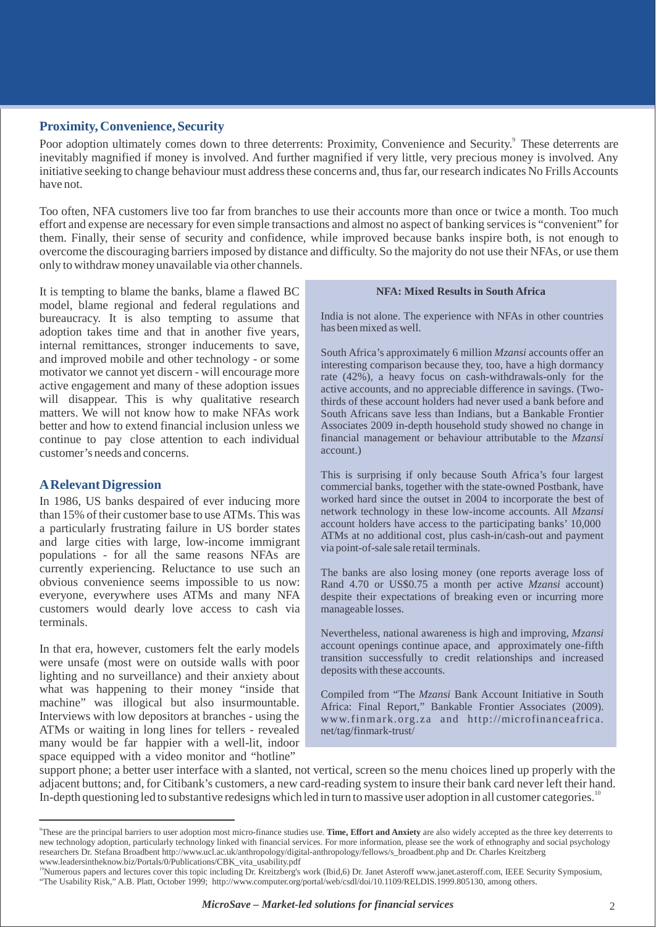#### **Proximity, Convenience, Security**

Poor adoption ultimately comes down to three deterrents: Proximity, Convenience and Security.<sup>9</sup> These deterrents are inevitably magnified if money is involved. And further magnified if very little, very precious money is involved. Any initiative seeking to change behaviour must address these concerns and, thus far, our research indicates No Frills Accounts have not.

Too often, NFA customers live too far from branches to use their accounts more than once or twice a month. Too much effort and expense are necessary for even simple transactions and almost no aspect of banking servicesis "convenient" for them. Finally, their sense of security and confidence, while improved because banks inspire both, is not enough to overcome the discouraging barriersimposed by distance and difficulty. So the majority do not use their NFAs, or use them only to withdrawmoney unavailable via other channels.

It is tempting to blame the banks, blame a flawed BC model, blame regional and federal regulations and bureaucracy. It is also tempting to assume that adoption takes time and that in another five years, internal remittances, stronger inducements to save, and improved mobile and other technology - or some motivator we cannot yet discern - will encourage more active engagement and many of these adoption issues will disappear. This is why qualitative research matters. We will not know how to make NFAs work better and how to extend financial inclusion unless we continue to pay close attention to each individual customer's needs and concerns.

#### **ARelevant Digression**

In 1986, US banks despaired of ever inducing more than 15% of their customer base to use ATMs. This was a particularly frustrating failure in US border states and large cities with large, low-income immigrant populations - for all the same reasons NFAs are currently experiencing. Reluctance to use such an obvious convenience seems impossible to us now: everyone, everywhere uses ATMs and many NFA customers would dearly love access to cash via terminals.

In that era, however, customers felt the early models were unsafe (most were on outside walls with poor lighting and no surveillance) and their anxiety about what was happening to their money "inside that machine" was illogical but also insurmountable. Interviews with low depositors at branches - using the ATMs or waiting in long lines for tellers - revealed many would be far happier with a well-lit, indoor space equipped with a video monitor and "hotline"

#### **NFA: Mixed Results in South Africa**

India is not alone. The experience with NFAs in other countries has been mixed as well.

South Africa's approximately 6 million *Mzansi* accounts offer an interesting comparison because they, too, have a high dormancy rate (42%), a heavy focus on cash-withdrawals-only for the active accounts, and no appreciable difference in savings. (Twothirds of these account holders had never used a bank before and South Africans save less than Indians, but a Bankable Frontier Associates 2009 in-depth household study showed no change in financial management or behaviour attributable to the *Mzansi*  account.)

This is surprising if only because South Africa's four largest commercial banks, together with the state-owned Postbank, have worked hard since the outset in 2004 to incorporate the best of network technology in these low-income accounts. All *Mzansi*  account holders have access to the participating banks' 10,000 ATMs at no additional cost, plus cash-in/cash-out and payment via point-of-sale sale retail terminals.

The banks are also losing money (one reports average loss of Rand 4.70 or US\$0.75 a month per active *Mzansi* account) despite their expectations of breaking even or incurring more manageable losses.

Nevertheless, national awareness is high and improving, *Mzansi*  account openings continue apace, and approximately one-fifth transition successfully to credit relationships and increased deposits with these accounts.

Compiled from "The *Mzansi* Bank Account Initiative in South Africa: Final Report," Bankable Frontier Associates (2009[\).](http://www.finmark.org.za/) [www.finmark.org.](http://www.finmark.org.za/) za and [http://microfinanceafrica.](http://microfinanceafrica/) net/tag/finmark-trust/

support phone; a better user interface with a slanted, not vertical, screen so the menu choices lined up properly with the adjacent buttons; and, for Citibank's customers, a new card-reading system to insure their bank card never left their hand. In-depth questioning led to substantive redesigns which led in turn to massive user adoption in all customer categories.<sup>10</sup>

<sup>9</sup> These are the principal barriers to user adoption most micro-finance studies use. **Time, Effort and Anxiety** are also widely accepted as the three key deterrents to new technology adoption, particularly technology linked with financial services. For more information, please see the work of ethnography an[d social psychology](http://www.leadersintheknow.biz/Portals/0/Publications/CBK_vita_usability.pdf)  researchers D[r. Stefana Broadbent http://www.ucl.ac.uk/anthropology/digital-anthropology/fellows/s\\_broadbent.php](http://www.ucl.ac.uk/anthropology/digital-anthropology/fellows/s_broadbent.php) and Dr. Charles Kreitzberg [www.leadersintheknow.biz/Portals/0/Publications/CBK\\_vita\\_usability.pdf](http://www.leadersintheknow.biz/Portals/0/Publications/CBK_vita_usability.pdf)

<sup>&</sup>lt;sup>0</sup>Numerous papers and lectures cover this topic including Dr. Kreitzberg's work (Ibid,6) Dr. Janet Aster[off www.janet.asteroff.com,](http://www.janet.asteroff.com/) IEEE Security Symposium, "The Usability Risk," [A.B. Platt, October 1999; http://www.computer.org/portal/web/csdl/doi/10.1109/RELDIS.1999.805130,](http://www.computer.org/portal/web/csdl/doi/10.1109/) among others.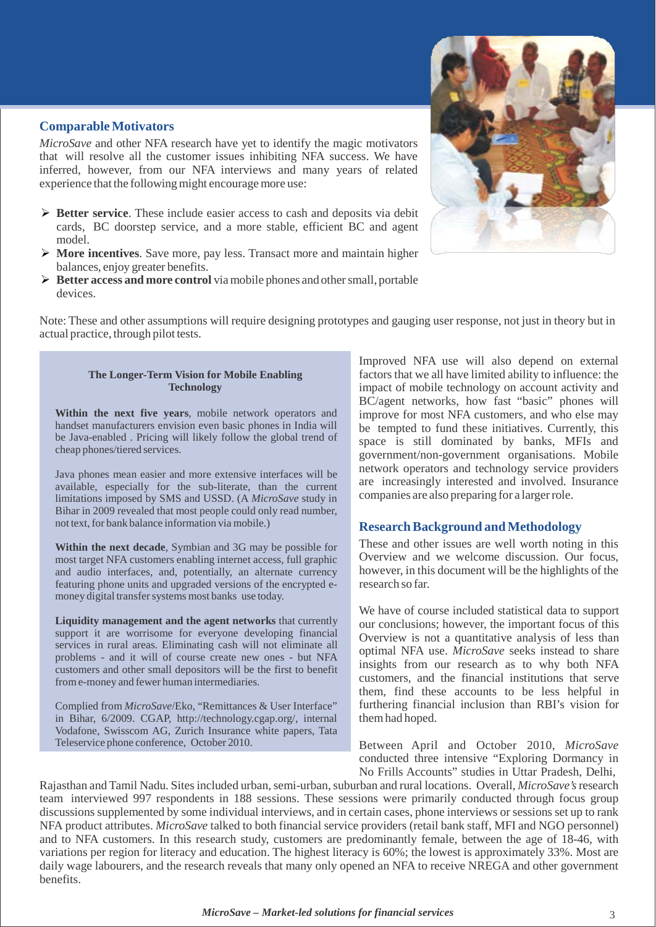#### **ComparableMotivators**

*MicroSave* and other NFA research have yet to identify the magic motivators that will resolve all the customer issues inhibiting NFA success. We have inferred, however, from our NFA interviews and many years of related experience that the following might encourage more use:

- **Better service**. These include easier access to cash and deposits via debit cards, BC doorstep service, and a more stable, efficient BC and agent model.
- **More incentives**. Save more, pay less. Transact more and maintain higher balances, enjoy greater benefits.
- **Better access and more control** viamobile phones and othersmall, portable devices.



#### **The Longer-Term Vision for Mobile Enabling Technology**

**Within the next five years**, mobile network operators and handset manufacturers envision even basic phones in India will be Java-enabled . Pricing will likely follow the global trend of cheap phones/tiered services.

Java phones mean easier and more extensive interfaces will be available, especially for the sub-literate, than the current limitations imposed by SMS and USSD. (A *MicroSave* study in Bihar in 2009 revealed that most people could only read number, not text, for bank balance information via mobile.)

**Within the next decade**, Symbian and 3G may be possible for most target NFA customers enabling internet access, full graphic and audio interfaces, and, potentially, an alternate currency featuring phone units and upgraded versions of the encrypted emoney digital transfer systems most banks use today.

**Liquidity management and the agent networks** that currently support it are worrisome for everyone developing financial services in rural areas. Eliminating cash will not eliminate all problems - and it will of course create new ones - but NFA customers and other small depositors will be the first to benefit frome-money and fewer human intermediaries.

Complied from *MicroSave*/Eko, "Remittances & User Interface" in Bihar, 6/2009. CGAP, [http://technology.cgap.org/,](http://technology.cgap.org/) internal Vodafone, Swisscom AG, Zurich Insurance white papers, Tata Teleservice phone conference, October 2010.

Improved NFA use will also depend on external factors that we all have limited ability to influence: the impact of mobile technology on account activity and BC/agent networks, how fast "basic" phones will improve for most NFA customers, and who else may be tempted to fund these initiatives. Currently, this space is still dominated by banks, MFIs and government/non-government organisations. Mobile network operators and technology service providers are increasingly interested and involved. Insurance companies are also preparing for a largerrole.

#### **Research Background and Methodology**

These and other issues are well worth noting in this Overview and we welcome discussion. Our focus, however, in this document will be the highlights of the research so far.

We have of course included statistical data to support our conclusions; however, the important focus of this Overview is not a quantitative analysis of less than optimal NFA use. *MicroSave* seeks instead to share insights from our research as to why both NFA customers, and the financial institutions that serve them, find these accounts to be less helpful in furthering financial inclusion than RBI's vision for themhad hoped.

Between April and October 2010, *MicroSave*  conducted three intensive "Exploring Dormancy in No Frills Accounts" studies in Uttar Pradesh, Delhi,

Rajasthan and Tamil Nadu. Sites included urban, semi-urban, suburban and rural locations. Overall, *MicroSave's* research team interviewed 997 respondents in 188 sessions. These sessions were primarily conducted through focus group discussions supplemented by some individual interviews, and in certain cases, phone interviews or sessions set up to rank NFA product attributes. *MicroSave* talked to both financial service providers (retail bank staff, MFI and NGO personnel) and to NFA customers. In this research study, customers are predominantly female, between the age of 18-46, with variations per region for literacy and education. The highest literacy is 60%; the lowest is approximately 33%. Most are daily wage labourers, and the research reveals that many only opened an NFA to receive NREGA and other government benefits.

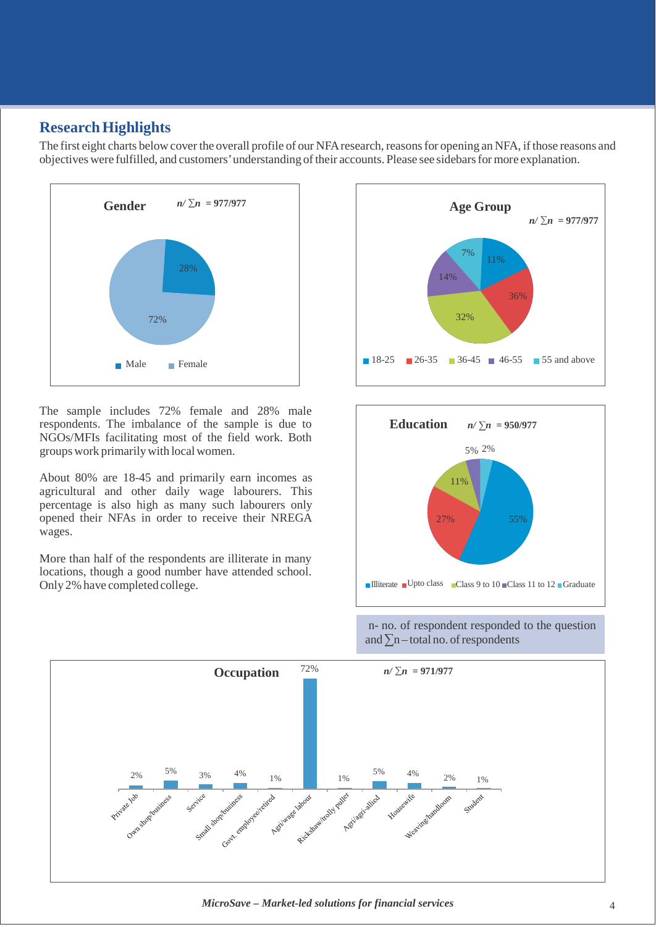### **Research Highlights**

The first eight charts below cover the overall profile of our NFA research, reasons for opening an NFA, if those reasons and objectives were fulfilled, and customers' understanding of their accounts. Please see sidebars for more explanation.



The sample includes 72% female and 28% male respondents. The imbalance of the sample is due to NGOs/MFIs facilitating most of the field work. Both groups work primarilywith local women.

About 80% are 18-45 and primarily earn incomes as agricultural and other daily wage labourers. This percentage is also high as many such labourers only opened their NFAs in order to receive their NREGA wages.

More than half of the respondents are illiterate in many locations, though a good number have attended school.<br>Only 2% have completed college.





n- no. of respondent responded to the question and  $\Sigma$ n – total no. of respondents



*MicroSave – Market-led solutions for financial services* 4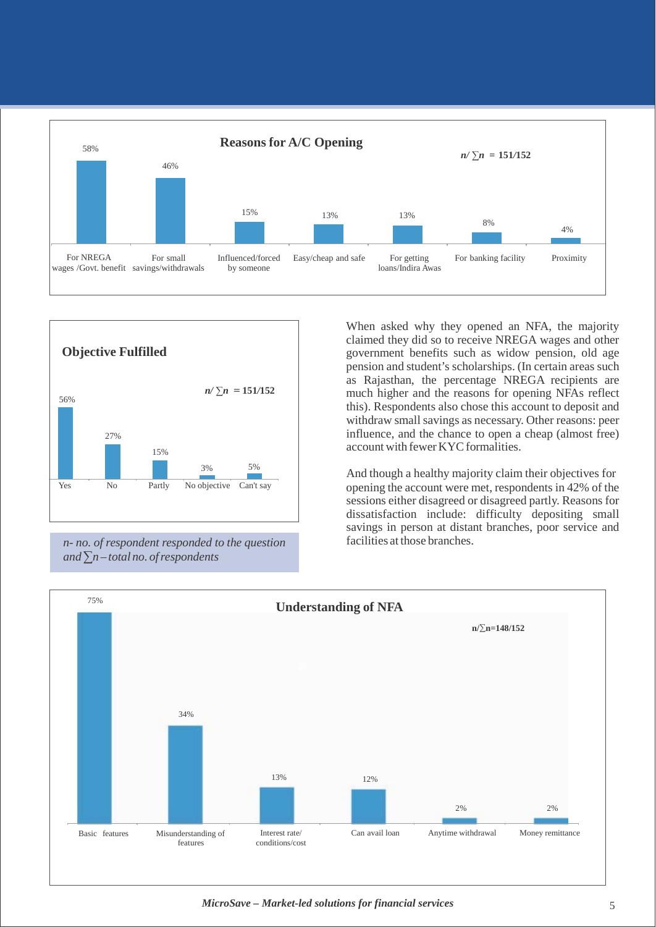



*n- no. of respondent responded to the question*   $and \sum n - total \, no.$  *of respondents* 

When asked why they opened an NFA, the majority claimed they did so to receive NREGA wages and other government benefits such as widow pension, old age pension and student's scholarships. (In certain areas such as Rajasthan, the percentage NREGA recipients are much higher and the reasons for opening NFAs reflect this). Respondents also chose this account to deposit and withdraw small savings as necessary. Other reasons: peer influence, and the chance to open a cheap (almost free) account with fewer KYC formalities.

And though a healthy majority claim their objectives for opening the account were met, respondents in 42% of the sessions either disagreed or disagreed partly. Reasons for dissatisfaction include: difficulty depositing small savings in person at distant branches, poor service and facilities at those branches.



*MicroSave – Market-led solutions for financial services* 5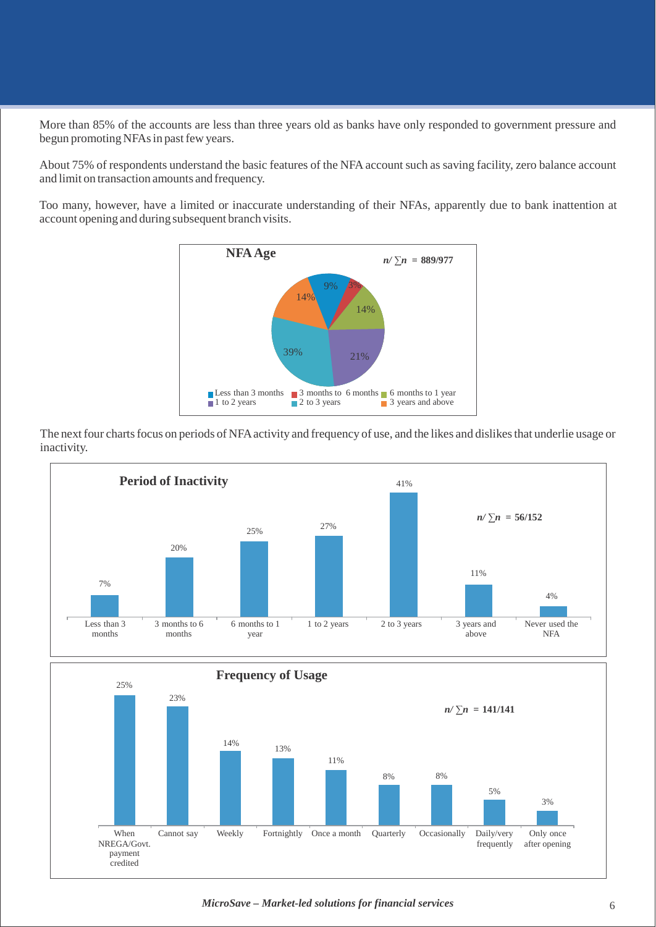More than 85% of the accounts are less than three years old as banks have only responded to government pressure and begun promoting NFAs in past few years.

About 75% of respondents understand the basic features of the NFA account such as saving facility, zero balance account and limit on transaction amounts and frequency.

Too many, however, have a limited or inaccurate understanding of their NFAs, apparently due to bank inattention at account opening and during subsequent branch visits.



The next four charts focus on periods of NFA activity and frequency of use, and the likes and dislikes that underlie usage or inactivity.



*MicroSave – Market-led solutions for financial services* 6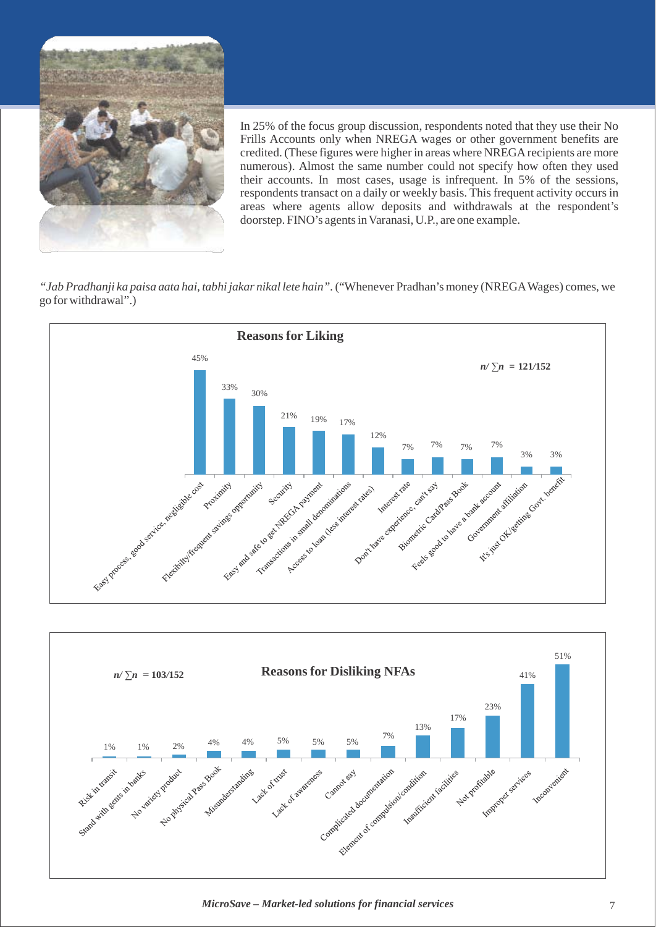

In 25% of the focus group discussion, respondents noted that they use their No Frills Accounts only when NREGA wages or other government benefits are credited. (These figures were higher in areas where NREGA recipients are more numerous). Almost the same number could not specify how often they used their accounts. In most cases, usage is infrequent. In 5% of the sessions, respondents transact on a daily or weekly basis. This frequent activity occurs in areas where agents allow deposits and withdrawals at the respondent's doorstep. FINO's agents in Varanasi, U.P., are one example.

*"Jab Pradhanji ka paisa aata hai, tabhi jakar nikal lete hain".*("Whenever Pradhan's money (NREGAWages) comes, we go for withdrawal".)





*MicroSave – Market-led solutions for financial services* 7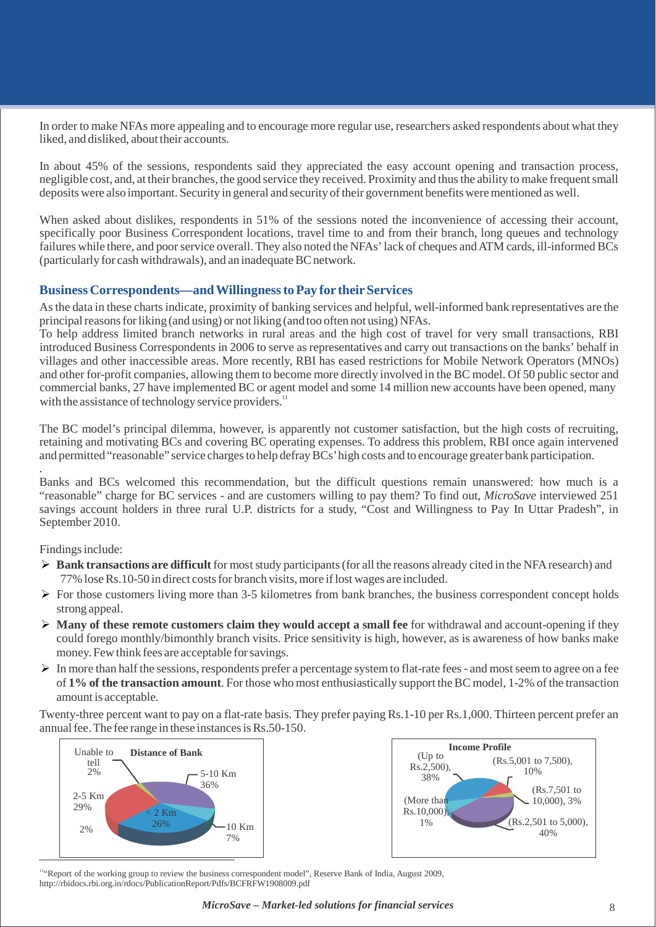In order to make NFAs more appealing and to encourage more regular use, researchers asked respondents about what they liked, and disliked, about their accounts.

In about 45% of the sessions, respondents said they appreciated the easy account opening and transaction process, negligible cost, and, at their branches, the good service they received. Proximity and thusthe ability to make frequentsmall deposits were also important. Security in general and security of their government benefits were mentioned as well.

When asked about dislikes, respondents in 51% of the sessions noted the inconvenience of accessing their account, specifically poor Business Correspondent locations, travel time to and from their branch, long queues and technology failures while there, and poor service overall. They also noted the NFAs' lack of cheques and ATM cards, ill-informed BCs (particularly for cash withdrawals), and an inadequate BC network.

#### **Business Correspondents—andWillingnesstoPay for theirServices**

Asthe data in these charts indicate, proximity of banking services and helpful, well-informed bank representatives are the principal reasons for liking (and using) or not liking (and too often not using) NFAs.

To help address limited branch networks in rural areas and the high cost of travel for very small transactions, RBI introduced Business Correspondents in 2006 to serve as representatives and carry out transactions on the banks' behalf in villages and other inaccessible areas. More recently, RBI has eased restrictions for Mobile Network Operators (MNOs) and other for-profit companies, allowing them to become more directly involved in the BC model. Of 50 public sector and commercial banks, 27 have implemented BC or agent model and some 14 million new accounts have been opened, many with the assistance of technology service providers.<sup>11</sup>

The BC model's principal dilemma, however, is apparently not customer satisfaction, but the high costs of recruiting, retaining and motivating BCs and covering BC operating expenses. To address this problem, RBI once again intervened and permitted "reasonable" service charges to help defray BCs' high costs and to encourage greater bank participation.

. Banks and BCs welcomed this recommendation, but the difficult questions remain unanswered: how much is a "reasonable" charge for BC services - and are customers willing to pay them? To find out, *MicroSave* interviewed 251 savings account holders in three rural U.P. districts for a study, "Cost and Willingness to Pay In Uttar Pradesh", in September 2010.

Findings include:

- **► Bank transactions are difficult** for most study participants (for all the reasons already cited in the NFA research) and 77% lose Rs.10-50 in direct costs for branch visits, more if lost wages are included.
- $\triangleright$  For those customers living more than 3-5 kilometres from bank branches, the business correspondent concept holds strong appeal.
- **Many of these remote customers claim they would accept a small fee** for withdrawal and account-opening if they could forego monthly/bimonthly branch visits. Price sensitivity is high, however, as is awareness of how banks make money. Few think fees are acceptable for savings.
- $\triangleright$  In more than half the sessions, respondents prefer a percentage system to flat-rate fees and most seem to agree on a fee of **1% of the transaction amount**. For those who most enthusiastically support theBC model, 1-2% of the transaction amount is acceptable.

Twenty-three percent want to pay on a flat-rate basis. They prefer paying Rs.1-10 per Rs.1,000. Thirteen percent prefer an annual fee. The fee range in these instances is Rs.50-150.





<sup>11</sup> Report of the working group to review the business correspondent model", Reserve Bank of India, August 200[9,](http://rbidocs.rbi.org.in/rdocs/PublicationReport/Pdfs/BCFRFW1908009.pdf) <http://rbidocs.rbi.org.in/rdocs/PublicationReport/Pdfs/BCFRFW1908009.pdf>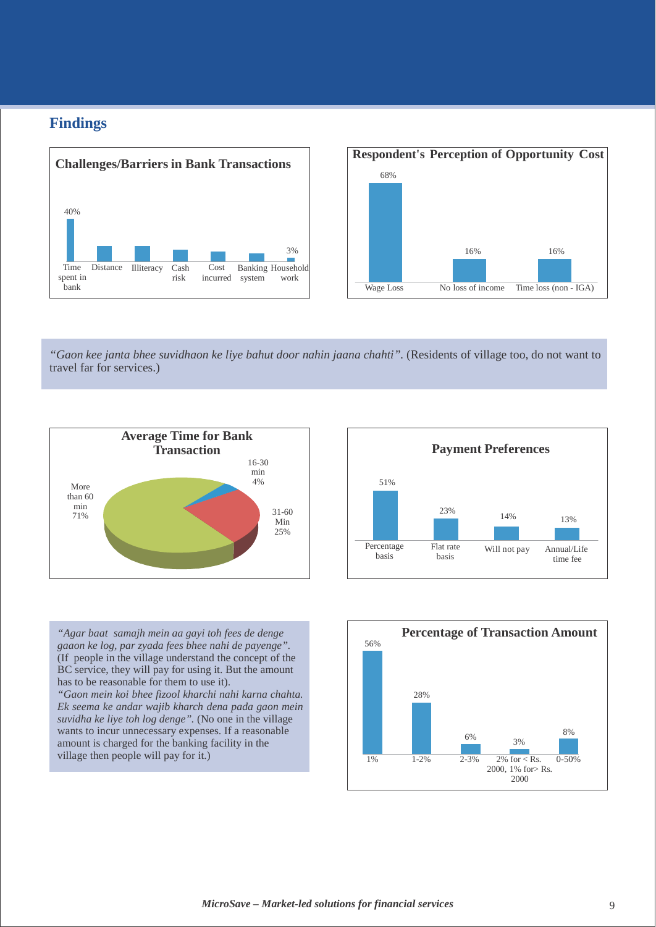## **Findings**





*"Gaon kee janta bhee suvidhaon ke liye bahut door nahin jaana chahti".* (Residents of village too, do not want to travel far for services.)





*"Agar baat samajh mein aa gayi toh fees de denge gaaon ke log, par zyada fees bhee nahi de payenge".*  (If people in the village understand the concept of the BC service, they will pay for using it. But the amount has to be reasonable for them to use it).

*"Gaon mein koi bhee fizool kharchi nahi karna chahta. Ek seema ke andar wajib kharch dena pada gaon mein suvidha ke liye toh log denge".* (No one in the village wants to incur unnecessary expenses. If a reasonable amount is charged for the banking facility in the

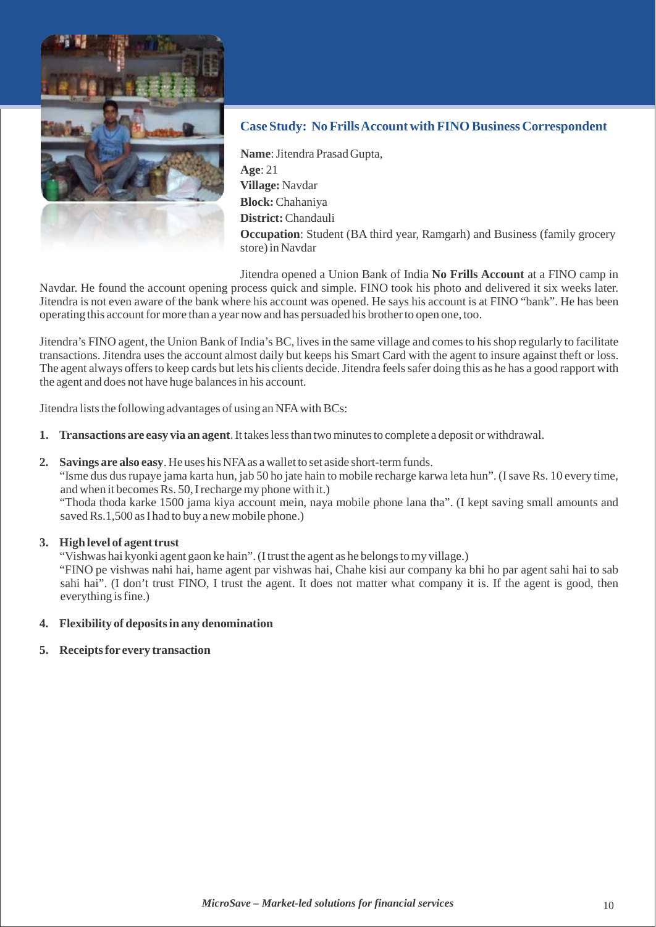

#### **Case Study: NoFrillsAccount with FINOBusiness Correspondent**

Name: Jitendra Prasad Gupta, **Age**: 21 **Village:** Navdar **Block:**Chahaniya **District:**Chandauli **Occupation**: Student (BA third year, Ramgarh) and Business (family grocery store) in Navdar

Jitendra opened a Union Bank of India **No Frills Account** at a FINO camp in Navdar. He found the account opening process quick and simple. FINO took his photo and delivered it six weeks later. Jitendra is not even aware of the bank where his account was opened. He says his account is at FINO "bank". He has been operating this accountfor more than a year now and has persuaded his brotherto open one, too.

Jitendra's FINO agent, the Union Bank of India's BC, livesin the same village and comesto hisshop regularly to facilitate transactions. Jitendra uses the account almost daily but keeps his Smart Card with the agent to insure against theft or loss. The agent always offers to keep cards but lets his clients decide. Jitendra feels safer doing this as he has a good rapport with the agent and does not have huge balancesin his account.

Jitendra lists the following advantages of using an NFA with BCs:

- **1. Transactions are easy via an agent**.It takeslessthan twominutesto complete a deposit or withdrawal.
- **2. Savings are also easy**. He uses his NFAas awallet to set aside short-termfunds.

"Isme dus dus rupaye jama karta hun, jab 50 ho jate hain to mobile recharge karwa leta hun". (I save Rs. 10 every time, and when it becomes  $\hat{R}s$ . 50, I recharge my phone with it.)

"Thoda thoda karke 1500 jama kiya account mein, naya mobile phone lana tha". (I kept saving small amounts and saved Rs.1,500 as I had to buy a new mobile phone.)

#### **3. High level of agent trust**

"Vishwas hai kyonki agent gaon ke hain". (I trust the agent as he belongs to my village.)

"FINO pe vishwas nahi hai, hame agent par vishwas hai, Chahe kisi aur company ka bhi ho par agent sahi hai to sab sahi hai". (I don't trust FINO, I trust the agent. It does not matter what company it is. If the agent is good, then everything is fine.)

- **4. Flexibility of depositsin any denomination**
- **5. Receiptsfor every transaction**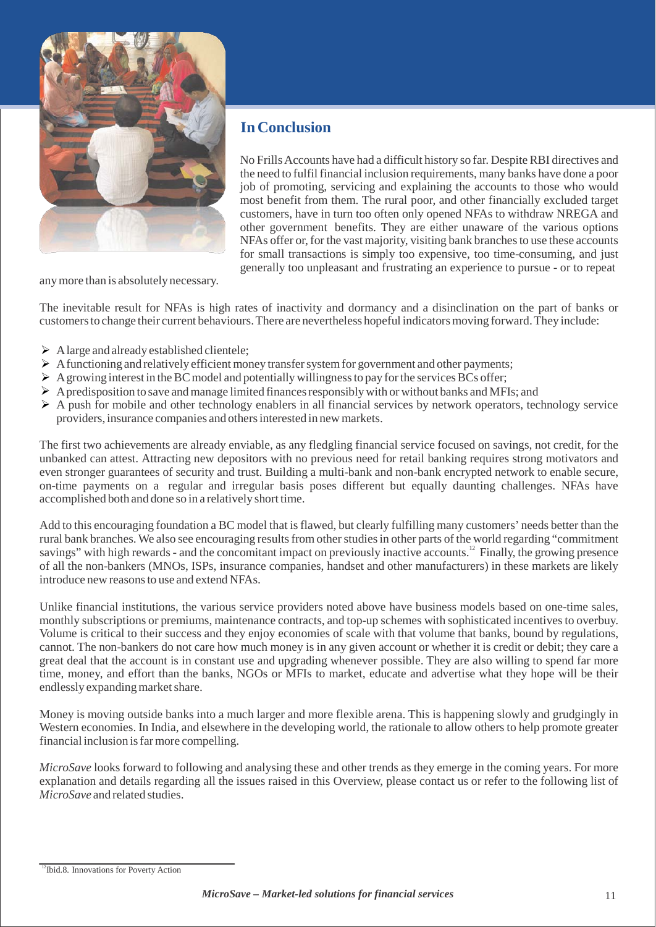

# **In Conclusion**

No FrillsAccounts have had a difficult history so far. DespiteRBI directives and the need to fulfil financial inclusion requirements, many banks have done a poor job of promoting, servicing and explaining the accounts to those who would most benefit from them. The rural poor, and other financially excluded target customers, have in turn too often only opened NFAs to withdraw NREGA and other government benefits. They are either unaware of the various options NFAs offer or, for the vast majority, visiting bank branches to use these accounts for small transactions is simply too expensive, too time-consuming, and just generally too unpleasant and frustrating an experience to pursue - or to repeat

anymore than is absolutely necessary.

The inevitable result for NFAs is high rates of inactivity and dormancy and a disinclination on the part of banks or customersto change their current behaviours.There are nevertheless hopeful indicatorsmoving forward.They include:

- $\triangleright$  A large and already established clientele;
- $\triangleright$  A functioning and relatively efficient money transfer system for government and other payments;
- $\triangleright$  A growing interest in the BC model and potentially willingness to pay for the services BCs offer;
- $\triangleright$  A predisposition to save and manage limited finances responsibly with or without banks and MFIs; and
- $\triangleright$  A push for mobile and other technology enablers in all financial services by network operators, technology service providers, insurance companies and othersinterested in newmarkets.

The first two achievements are already enviable, as any fledgling financial service focused on savings, not credit, for the unbanked can attest. Attracting new depositors with no previous need for retail banking requires strong motivators and even stronger guarantees of security and trust. Building a multi-bank and non-bank encrypted network to enable secure, on-time payments on a regular and irregular basis poses different but equally daunting challenges. NFAs have accomplished both and done so in a relatively short time.

Add to this encouraging foundation a BC model that isflawed, but clearly fulfilling many customers' needs better than the rural bank branches. We also see encouraging results from other studies in other parts of the world regarding "commitment" savings" with high rewards - and the concomitant impact on previously inactive accounts.<sup>12</sup> Finally, the growing presence of all the non-bankers (MNOs, ISPs, insurance companies, handset and other manufacturers) in these markets are likely introduce new reasons to use and extend NFAs.

Unlike financial institutions, the various service providers noted above have business models based on one-time sales, monthly subscriptions or premiums, maintenance contracts, and top-up schemes with sophisticated incentives to overbuy. Volume is critical to their success and they enjoy economies of scale with that volume that banks, bound by regulations, cannot. The non-bankers do not care how much money is in any given account or whether it is credit or debit; they care a great deal that the account is in constant use and upgrading whenever possible. They are also willing to spend far more time, money, and effort than the banks, NGOs or MFIs to market, educate and advertise what they hope will be their endlessly expanding market share.

Money is moving outside banks into a much larger and more flexible arena. This is happening slowly and grudgingly in Western economies. In India, and elsewhere in the developing world, the rationale to allow others to help promote greater financial inclusion isfar more compelling.

*MicroSave* looks forward to following and analysing these and other trends as they emerge in the coming years. For more explanation and details regarding all the issues raised in this Overview, please contact us or refer to the following list of *MicroSave* and related studies.

<sup>&</sup>lt;sup>12</sup>Ibid.8. Innovations for Poverty Action